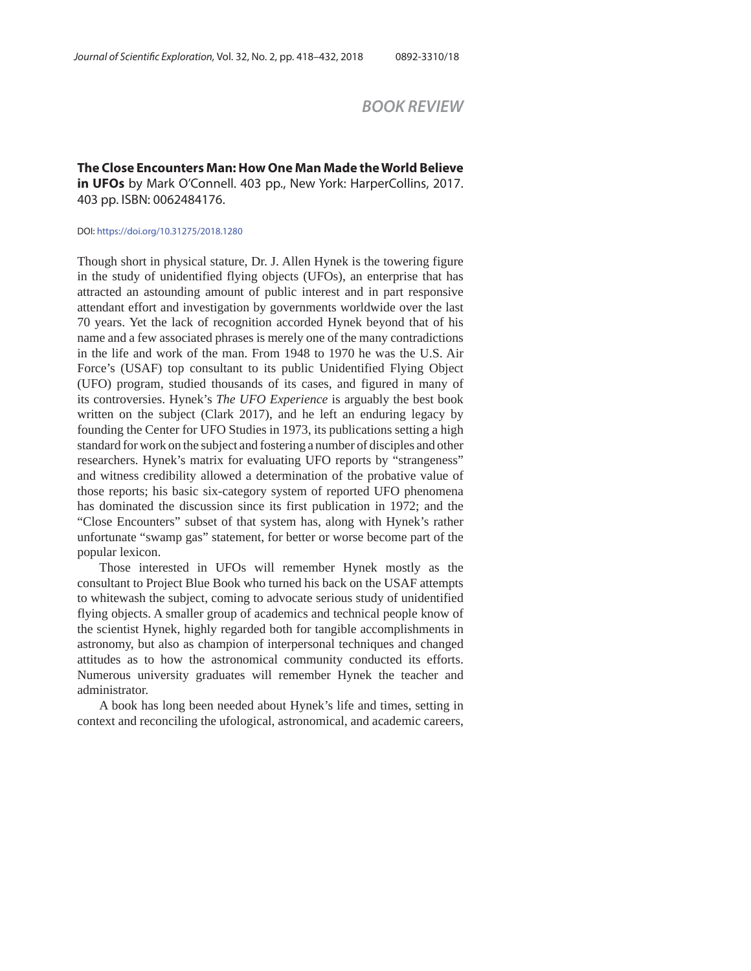# *BOOK REVIEW*

**The Close Encounters Man: How One Man Made the World Believe in UFOs** by Mark O'Connell. 403 pp., New York: HarperCollins, 2017. 403 pp. ISBN: 0062484176.

#### DOI: https://doi.org/10.31275/2018.1280

Though short in physical stature, Dr. J. Allen Hynek is the towering figure in the study of unidentified flying objects (UFOs), an enterprise that has attracted an astounding amount of public interest and in part responsive attendant effort and investigation by governments worldwide over the last 70 years. Yet the lack of recognition accorded Hynek beyond that of his name and a few associated phrases is merely one of the many contradictions in the life and work of the man. From 1948 to 1970 he was the U.S. Air Force's (USAF) top consultant to its public Unidentified Flying Object (UFO) program, studied thousands of its cases, and figured in many of its controversies. Hynek's *The UFO Experience* is arguably the best book written on the subject (Clark 2017), and he left an enduring legacy by founding the Center for UFO Studies in 1973, its publications setting a high standard for work on the subject and fostering a number of disciples and other researchers. Hynek's matrix for evaluating UFO reports by "strangeness" and witness credibility allowed a determination of the probative value of those reports; his basic six-category system of reported UFO phenomena has dominated the discussion since its first publication in 1972; and the "Close Encounters" subset of that system has, along with Hynek's rather unfortunate "swamp gas" statement, for better or worse become part of the popular lexicon.

Those interested in UFOs will remember Hynek mostly as the consultant to Project Blue Book who turned his back on the USAF attempts to whitewash the subject, coming to advocate serious study of unidentified flying objects. A smaller group of academics and technical people know of the scientist Hynek, highly regarded both for tangible accomplishments in astronomy, but also as champion of interpersonal techniques and changed attitudes as to how the astronomical community conducted its efforts. Numerous university graduates will remember Hynek the teacher and administrator.

A book has long been needed about Hynek's life and times, setting in context and reconciling the ufological, astronomical, and academic careers,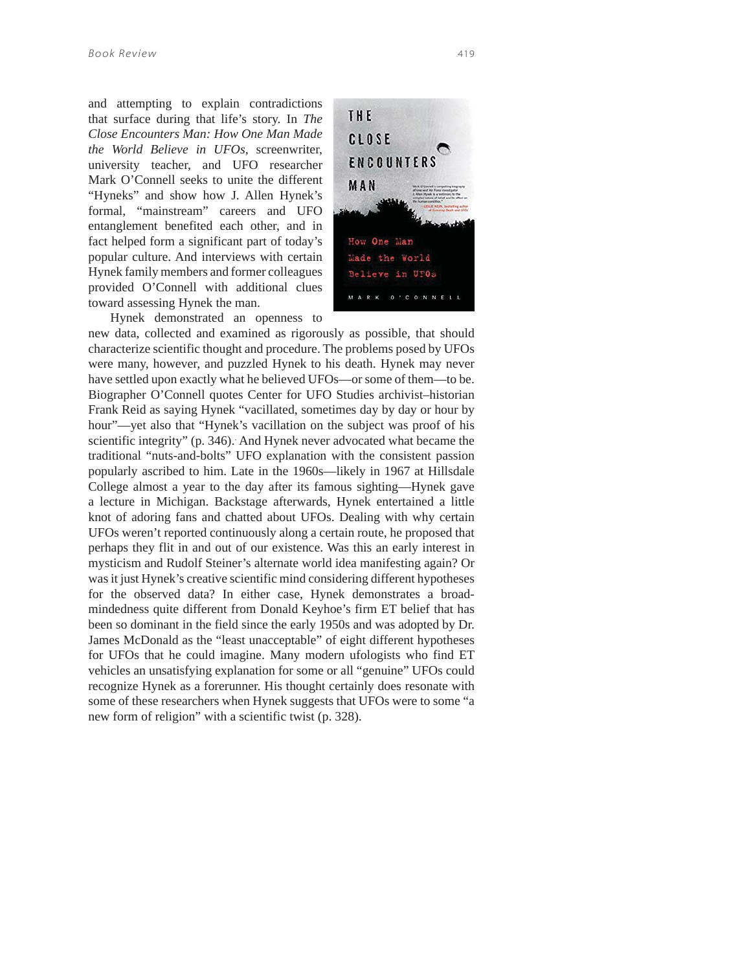and attempting to explain contradictions that surface during that life's story. In *The Close Encounters Man: How One Man Made the World Believe in UFOs*, screenwriter, university teacher, and UFO researcher Mark O'Connell seeks to unite the different "Hyneks" and show how J. Allen Hynek's formal, "mainstream" careers and UFO entanglement benefited each other, and in fact helped form a significant part of today's popular culture. And interviews with certain Hynek family members and former colleagues provided O'Connell with additional clues toward assessing Hynek the man.



Hynek demonstrated an openness to

new data, collected and examined as rigorously as possible, that should characterize scientific thought and procedure. The problems posed by UFOs were many, however, and puzzled Hynek to his death. Hynek may never have settled upon exactly what he believed UFOs—or some of them—to be. Biographer O'Connell quotes Center for UFO Studies archivist–historian Frank Reid as saying Hynek "vacillated, sometimes day by day or hour by hour"—yet also that "Hynek's vacillation on the subject was proof of his scientific integrity" (p. 346). And Hynek never advocated what became the traditional "nuts-and-bolts" UFO explanation with the consistent passion popularly ascribed to him. Late in the 1960s—likely in 1967 at Hillsdale College almost a year to the day after its famous sighting—Hynek gave a lecture in Michigan. Backstage afterwards, Hynek entertained a little knot of adoring fans and chatted about UFOs. Dealing with why certain UFOs weren't reported continuously along a certain route, he proposed that perhaps they flit in and out of our existence. Was this an early interest in mysticism and Rudolf Steiner's alternate world idea manifesting again? Or was it just Hynek's creative scientific mind considering different hypotheses for the observed data? In either case, Hynek demonstrates a broadmindedness quite different from Donald Keyhoe's firm ET belief that has been so dominant in the field since the early 1950s and was adopted by Dr. James McDonald as the "least unacceptable" of eight different hypotheses for UFOs that he could imagine. Many modern ufologists who find ET vehicles an unsatisfying explanation for some or all "genuine" UFOs could recognize Hynek as a forerunner. His thought certainly does resonate with some of these researchers when Hynek suggests that UFOs were to some "a new form of religion" with a scientific twist (p. 328).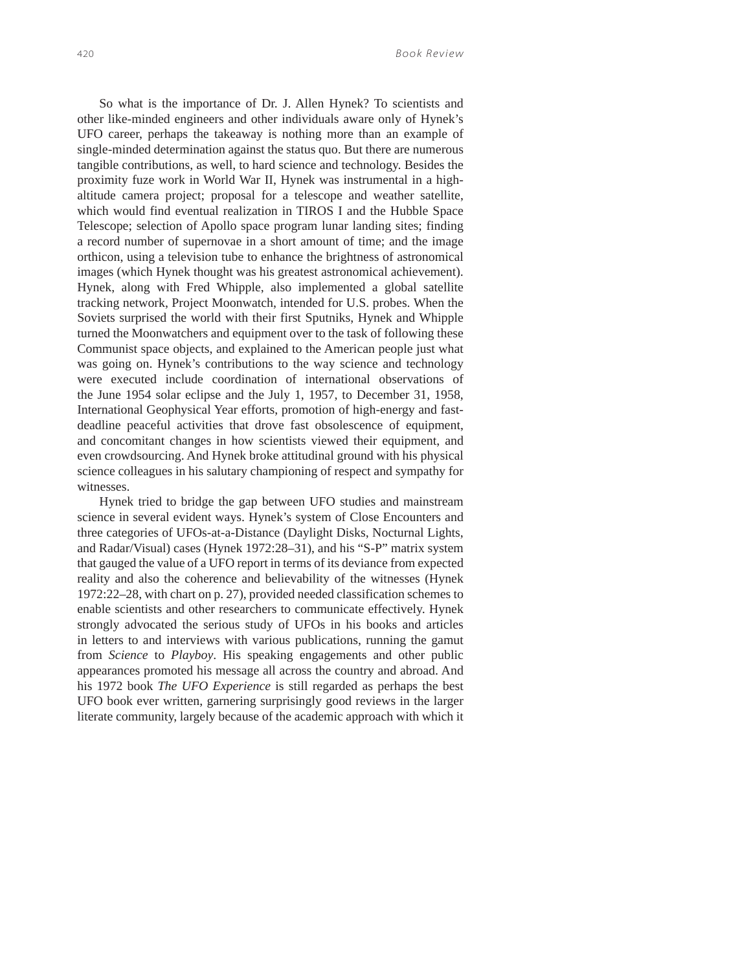So what is the importance of Dr. J. Allen Hynek? To scientists and other like-minded engineers and other individuals aware only of Hynek's UFO career, perhaps the takeaway is nothing more than an example of single-minded determination against the status quo. But there are numerous tangible contributions, as well, to hard science and technology. Besides the proximity fuze work in World War II, Hynek was instrumental in a highaltitude camera project; proposal for a telescope and weather satellite, which would find eventual realization in TIROS I and the Hubble Space Telescope; selection of Apollo space program lunar landing sites; finding a record number of supernovae in a short amount of time; and the image orthicon, using a television tube to enhance the brightness of astronomical images (which Hynek thought was his greatest astronomical achievement). Hynek, along with Fred Whipple, also implemented a global satellite tracking network, Project Moonwatch, intended for U.S. probes. When the Soviets surprised the world with their first Sputniks, Hynek and Whipple turned the Moonwatchers and equipment over to the task of following these Communist space objects, and explained to the American people just what was going on. Hynek's contributions to the way science and technology were executed include coordination of international observations of the June 1954 solar eclipse and the July 1, 1957, to December 31, 1958, International Geophysical Year efforts, promotion of high-energy and fastdeadline peaceful activities that drove fast obsolescence of equipment, and concomitant changes in how scientists viewed their equipment, and even crowdsourcing. And Hynek broke attitudinal ground with his physical science colleagues in his salutary championing of respect and sympathy for witnesses.

Hynek tried to bridge the gap between UFO studies and mainstream science in several evident ways. Hynek's system of Close Encounters and three categories of UFOs-at-a-Distance (Daylight Disks, Nocturnal Lights, and Radar/Visual) cases (Hynek 1972:28–31), and his "S-P" matrix system that gauged the value of a UFO report in terms of its deviance from expected reality and also the coherence and believability of the witnesses (Hynek 1972:22–28, with chart on p. 27), provided needed classification schemes to enable scientists and other researchers to communicate effectively. Hynek strongly advocated the serious study of UFOs in his books and articles in letters to and interviews with various publications, running the gamut from *Science* to *Playboy*. His speaking engagements and other public appearances promoted his message all across the country and abroad. And his 1972 book *The UFO Experience* is still regarded as perhaps the best UFO book ever written, garnering surprisingly good reviews in the larger literate community, largely because of the academic approach with which it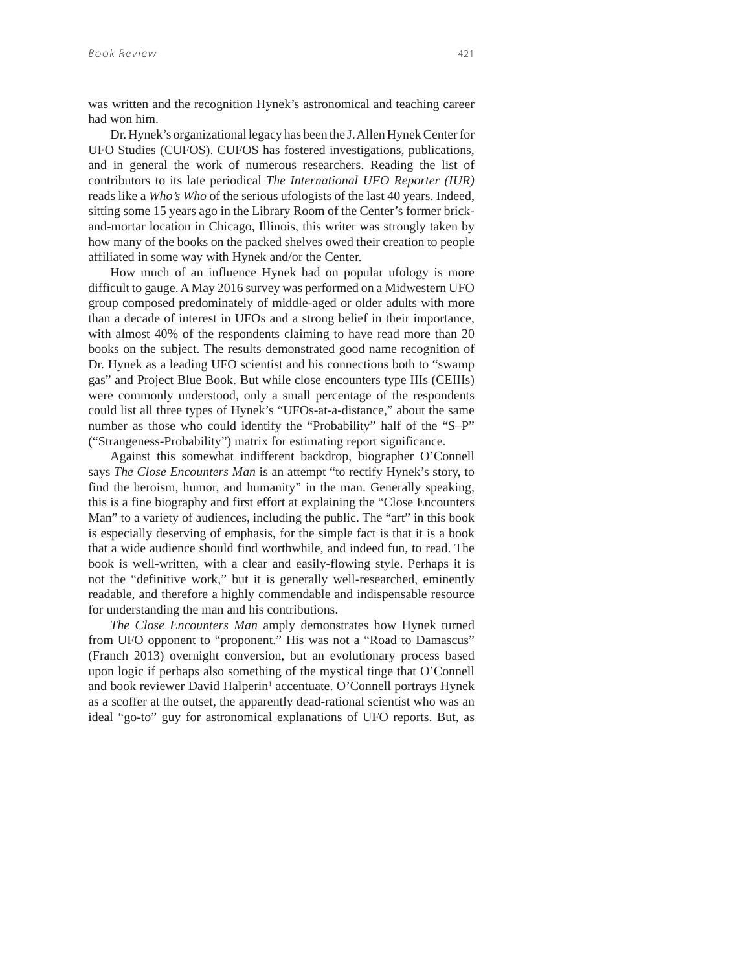was written and the recognition Hynek's astronomical and teaching career had won him.

Dr. Hynek's organizational legacy has been the J. Allen Hynek Center for UFO Studies (CUFOS). CUFOS has fostered investigations, publications, and in general the work of numerous researchers. Reading the list of contributors to its late periodical *The International UFO Reporter (IUR)* reads like a *Who's Who* of the serious ufologists of the last 40 years. Indeed, sitting some 15 years ago in the Library Room of the Center's former brickand-mortar location in Chicago, Illinois, this writer was strongly taken by how many of the books on the packed shelves owed their creation to people affiliated in some way with Hynek and/or the Center.

How much of an influence Hynek had on popular ufology is more difficult to gauge. A May 2016 survey was performed on a Midwestern UFO group composed predominately of middle-aged or older adults with more than a decade of interest in UFOs and a strong belief in their importance, with almost 40% of the respondents claiming to have read more than 20 books on the subject. The results demonstrated good name recognition of Dr. Hynek as a leading UFO scientist and his connections both to "swamp gas" and Project Blue Book. But while close encounters type IIIs (CEIIIs) were commonly understood, only a small percentage of the respondents could list all three types of Hynek's "UFOs-at-a-distance," about the same number as those who could identify the "Probability" half of the "S–P" ("Strangeness-Probability") matrix for estimating report significance.

Against this somewhat indifferent backdrop, biographer O'Connell says *The Close Encounters Man* is an attempt "to rectify Hynek's story, to find the heroism, humor, and humanity" in the man. Generally speaking, this is a fine biography and first effort at explaining the "Close Encounters Man" to a variety of audiences, including the public. The "art" in this book is especially deserving of emphasis, for the simple fact is that it is a book that a wide audience should find worthwhile, and indeed fun, to read. The book is well-written, with a clear and easily-flowing style. Perhaps it is not the "definitive work," but it is generally well-researched, eminently readable, and therefore a highly commendable and indispensable resource for understanding the man and his contributions.

*The Close Encounters Man* amply demonstrates how Hynek turned from UFO opponent to "proponent." His was not a "Road to Damascus" (Franch 2013) overnight conversion, but an evolutionary process based upon logic if perhaps also something of the mystical tinge that O'Connell and book reviewer David Halperin<sup>1</sup> accentuate. O'Connell portrays Hynek as a scoffer at the outset, the apparently dead-rational scientist who was an ideal "go-to" guy for astronomical explanations of UFO reports. But, as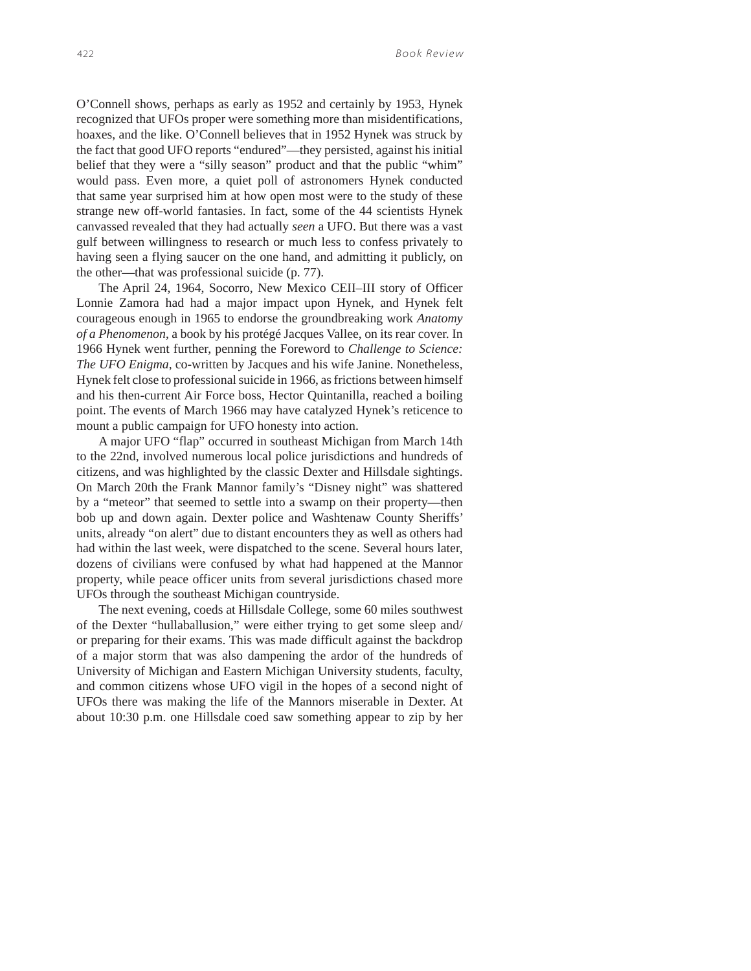O'Connell shows, perhaps as early as 1952 and certainly by 1953, Hynek recognized that UFOs proper were something more than misidentifications, hoaxes, and the like. O'Connell believes that in 1952 Hynek was struck by the fact that good UFO reports "endured"—they persisted, against his initial belief that they were a "silly season" product and that the public "whim" would pass. Even more, a quiet poll of astronomers Hynek conducted that same year surprised him at how open most were to the study of these strange new off-world fantasies. In fact, some of the 44 scientists Hynek canvassed revealed that they had actually *seen* a UFO. But there was a vast gulf between willingness to research or much less to confess privately to having seen a flying saucer on the one hand, and admitting it publicly, on the other—that was professional suicide (p. 77).

The April 24, 1964, Socorro, New Mexico CEII–III story of Officer Lonnie Zamora had had a major impact upon Hynek, and Hynek felt courageous enough in 1965 to endorse the groundbreaking work *Anatomy of a Phenomenon*, a book by his protégé Jacques Vallee, on its rear cover. In 1966 Hynek went further, penning the Foreword to *Challenge to Science: The UFO Enigma*, co-written by Jacques and his wife Janine. Nonetheless, Hynek felt close to professional suicide in 1966, as frictions between himself and his then-current Air Force boss, Hector Quintanilla, reached a boiling point. The events of March 1966 may have catalyzed Hynek's reticence to mount a public campaign for UFO honesty into action.

A major UFO "flap" occurred in southeast Michigan from March 14th to the 22nd, involved numerous local police jurisdictions and hundreds of citizens, and was highlighted by the classic Dexter and Hillsdale sightings. On March 20th the Frank Mannor family's "Disney night" was shattered by a "meteor" that seemed to settle into a swamp on their property—then bob up and down again. Dexter police and Washtenaw County Sheriffs' units, already "on alert" due to distant encounters they as well as others had had within the last week, were dispatched to the scene. Several hours later, dozens of civilians were confused by what had happened at the Mannor property, while peace officer units from several jurisdictions chased more UFOs through the southeast Michigan countryside.

The next evening, coeds at Hillsdale College, some 60 miles southwest of the Dexter "hullaballusion," were either trying to get some sleep and/ or preparing for their exams. This was made difficult against the backdrop of a major storm that was also dampening the ardor of the hundreds of University of Michigan and Eastern Michigan University students, faculty, and common citizens whose UFO vigil in the hopes of a second night of UFOs there was making the life of the Mannors miserable in Dexter. At about 10:30 p.m. one Hillsdale coed saw something appear to zip by her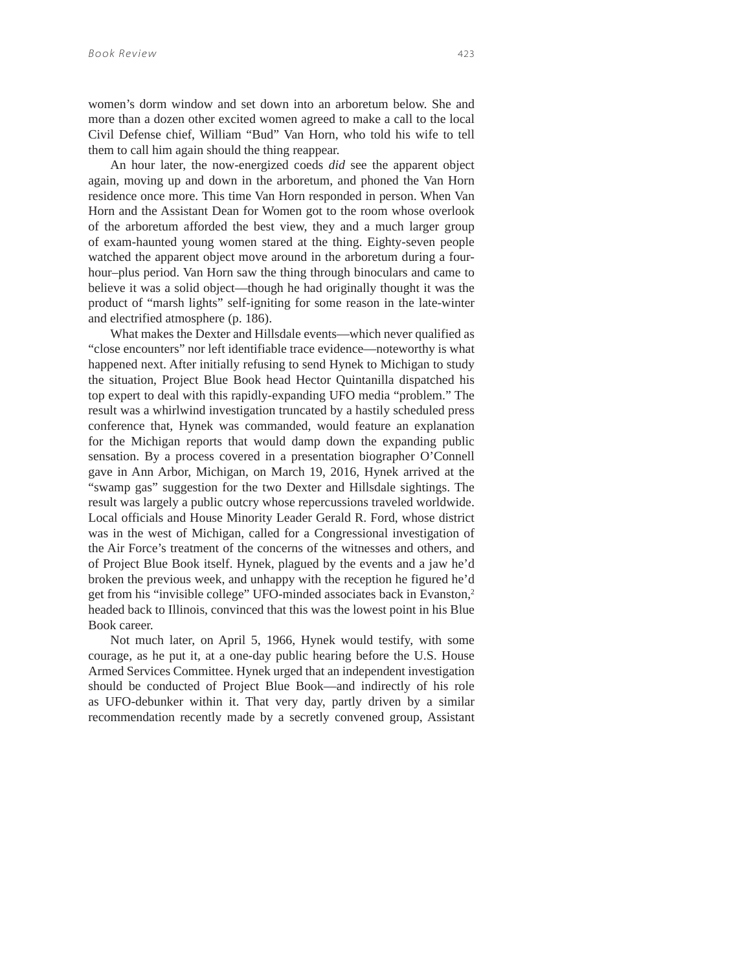women's dorm window and set down into an arboretum below. She and more than a dozen other excited women agreed to make a call to the local Civil Defense chief, William "Bud" Van Horn, who told his wife to tell them to call him again should the thing reappear.

An hour later, the now-energized coeds *did* see the apparent object again, moving up and down in the arboretum, and phoned the Van Horn residence once more. This time Van Horn responded in person. When Van Horn and the Assistant Dean for Women got to the room whose overlook of the arboretum afforded the best view, they and a much larger group of exam-haunted young women stared at the thing. Eighty-seven people watched the apparent object move around in the arboretum during a fourhour–plus period. Van Horn saw the thing through binoculars and came to believe it was a solid object—though he had originally thought it was the product of "marsh lights" self-igniting for some reason in the late-winter and electrified atmosphere (p. 186).

What makes the Dexter and Hillsdale events—which never qualified as "close encounters" nor left identifiable trace evidence—noteworthy is what happened next. After initially refusing to send Hynek to Michigan to study the situation, Project Blue Book head Hector Quintanilla dispatched his top expert to deal with this rapidly-expanding UFO media "problem." The result was a whirlwind investigation truncated by a hastily scheduled press conference that, Hynek was commanded, would feature an explanation for the Michigan reports that would damp down the expanding public sensation. By a process covered in a presentation biographer O'Connell gave in Ann Arbor, Michigan, on March 19, 2016, Hynek arrived at the "swamp gas" suggestion for the two Dexter and Hillsdale sightings. The result was largely a public outcry whose repercussions traveled worldwide. Local officials and House Minority Leader Gerald R. Ford, whose district was in the west of Michigan, called for a Congressional investigation of the Air Force's treatment of the concerns of the witnesses and others, and of Project Blue Book itself. Hynek, plagued by the events and a jaw he'd broken the previous week, and unhappy with the reception he figured he'd get from his "invisible college" UFO-minded associates back in Evanston,<sup>2</sup> headed back to Illinois, convinced that this was the lowest point in his Blue Book career.

Not much later, on April 5, 1966, Hynek would testify, with some courage, as he put it, at a one-day public hearing before the U.S. House Armed Services Committee. Hynek urged that an independent investigation should be conducted of Project Blue Book—and indirectly of his role as UFO-debunker within it. That very day, partly driven by a similar recommendation recently made by a secretly convened group, Assistant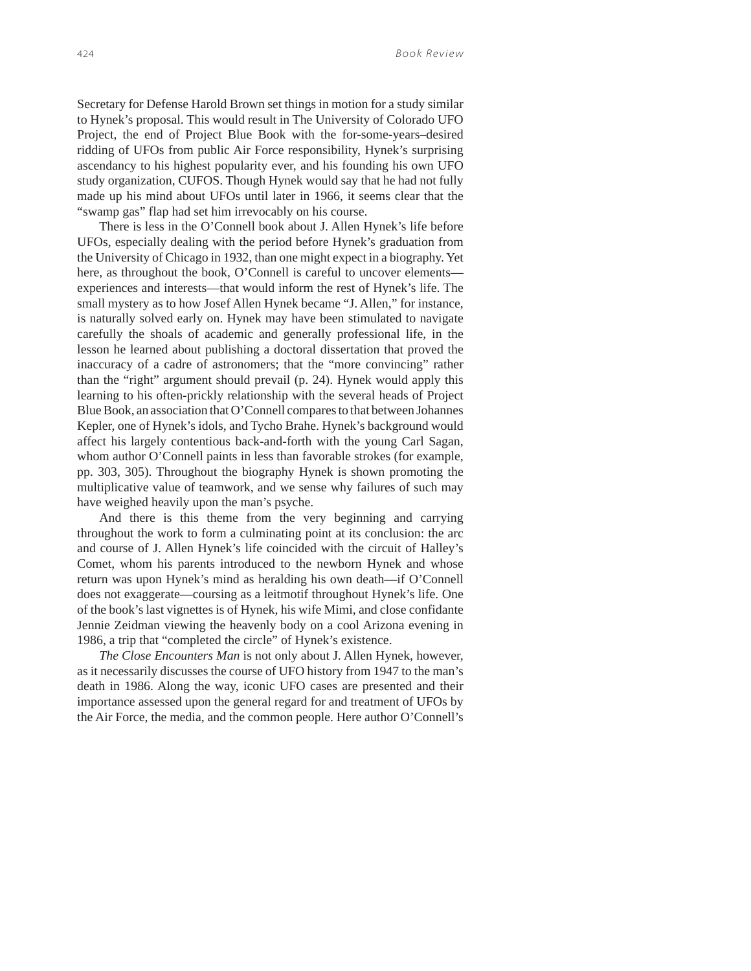Secretary for Defense Harold Brown set things in motion for a study similar to Hynek's proposal. This would result in The University of Colorado UFO Project, the end of Project Blue Book with the for-some-years–desired ridding of UFOs from public Air Force responsibility, Hynek's surprising ascendancy to his highest popularity ever, and his founding his own UFO study organization, CUFOS. Though Hynek would say that he had not fully made up his mind about UFOs until later in 1966, it seems clear that the "swamp gas" flap had set him irrevocably on his course.

There is less in the O'Connell book about J. Allen Hynek's life before UFOs, especially dealing with the period before Hynek's graduation from the University of Chicago in 1932, than one might expect in a biography. Yet here, as throughout the book, O'Connell is careful to uncover elements experiences and interests—that would inform the rest of Hynek's life. The small mystery as to how Josef Allen Hynek became "J. Allen," for instance, is naturally solved early on. Hynek may have been stimulated to navigate carefully the shoals of academic and generally professional life, in the lesson he learned about publishing a doctoral dissertation that proved the inaccuracy of a cadre of astronomers; that the "more convincing" rather than the "right" argument should prevail (p. 24). Hynek would apply this learning to his often-prickly relationship with the several heads of Project Blue Book, an association that O'Connell compares to that between Johannes Kepler, one of Hynek's idols, and Tycho Brahe. Hynek's background would affect his largely contentious back-and-forth with the young Carl Sagan, whom author O'Connell paints in less than favorable strokes (for example, pp. 303, 305). Throughout the biography Hynek is shown promoting the multiplicative value of teamwork, and we sense why failures of such may have weighed heavily upon the man's psyche.

And there is this theme from the very beginning and carrying throughout the work to form a culminating point at its conclusion: the arc and course of J. Allen Hynek's life coincided with the circuit of Halley's Comet, whom his parents introduced to the newborn Hynek and whose return was upon Hynek's mind as heralding his own death—if O'Connell does not exaggerate—coursing as a leitmotif throughout Hynek's life. One of the book's last vignettes is of Hynek, his wife Mimi, and close confidante Jennie Zeidman viewing the heavenly body on a cool Arizona evening in 1986, a trip that "completed the circle" of Hynek's existence.

*The Close Encounters Man* is not only about J. Allen Hynek, however, as it necessarily discusses the course of UFO history from 1947 to the man's death in 1986. Along the way, iconic UFO cases are presented and their importance assessed upon the general regard for and treatment of UFOs by the Air Force, the media, and the common people. Here author O'Connell's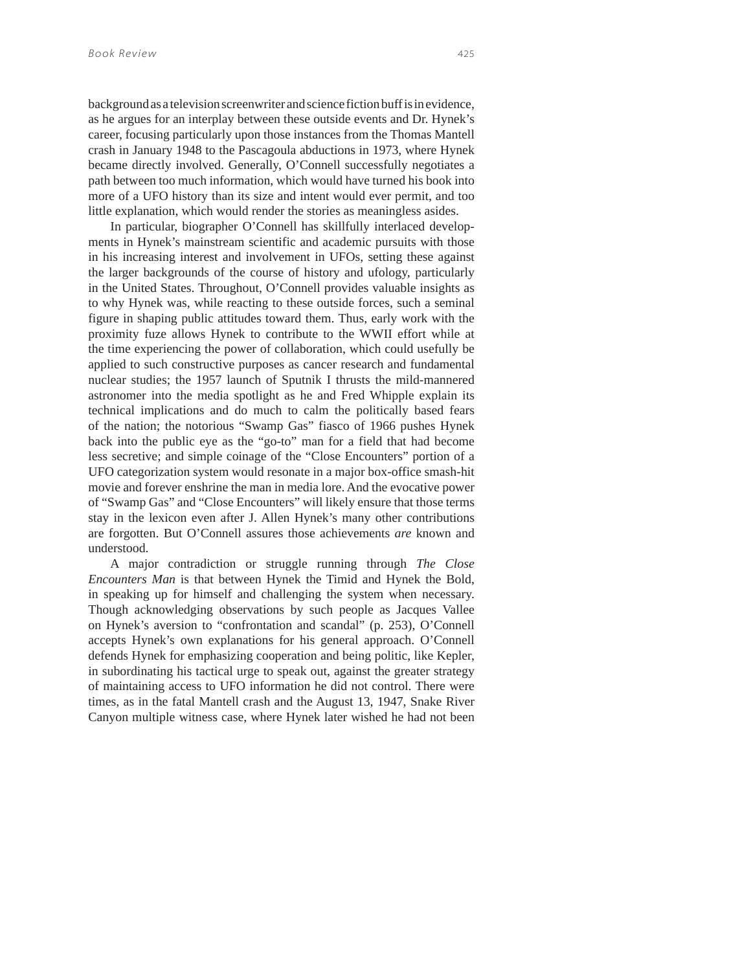background as a television screenwriter and science fiction buff is in evidence, as he argues for an interplay between these outside events and Dr. Hynek's career, focusing particularly upon those instances from the Thomas Mantell crash in January 1948 to the Pascagoula abductions in 1973, where Hynek became directly involved. Generally, O'Connell successfully negotiates a path between too much information, which would have turned his book into more of a UFO history than its size and intent would ever permit, and too little explanation, which would render the stories as meaningless asides.

In particular, biographer O'Connell has skillfully interlaced developments in Hynek's mainstream scientific and academic pursuits with those in his increasing interest and involvement in UFOs, setting these against the larger backgrounds of the course of history and ufology, particularly in the United States. Throughout, O'Connell provides valuable insights as to why Hynek was, while reacting to these outside forces, such a seminal figure in shaping public attitudes toward them. Thus, early work with the proximity fuze allows Hynek to contribute to the WWII effort while at the time experiencing the power of collaboration, which could usefully be applied to such constructive purposes as cancer research and fundamental nuclear studies; the 1957 launch of Sputnik I thrusts the mild-mannered astronomer into the media spotlight as he and Fred Whipple explain its technical implications and do much to calm the politically based fears of the nation; the notorious "Swamp Gas" fiasco of 1966 pushes Hynek back into the public eye as the "go-to" man for a field that had become less secretive; and simple coinage of the "Close Encounters" portion of a UFO categorization system would resonate in a major box-office smash-hit movie and forever enshrine the man in media lore. And the evocative power of "Swamp Gas" and "Close Encounters" will likely ensure that those terms stay in the lexicon even after J. Allen Hynek's many other contributions are forgotten. But O'Connell assures those achievements *are* known and understood.

A major contradiction or struggle running through *The Close Encounters Man* is that between Hynek the Timid and Hynek the Bold, in speaking up for himself and challenging the system when necessary. Though acknowledging observations by such people as Jacques Vallee on Hynek's aversion to "confrontation and scandal" (p. 253), O'Connell accepts Hynek's own explanations for his general approach. O'Connell defends Hynek for emphasizing cooperation and being politic, like Kepler, in subordinating his tactical urge to speak out, against the greater strategy of maintaining access to UFO information he did not control. There were times, as in the fatal Mantell crash and the August 13, 1947, Snake River Canyon multiple witness case, where Hynek later wished he had not been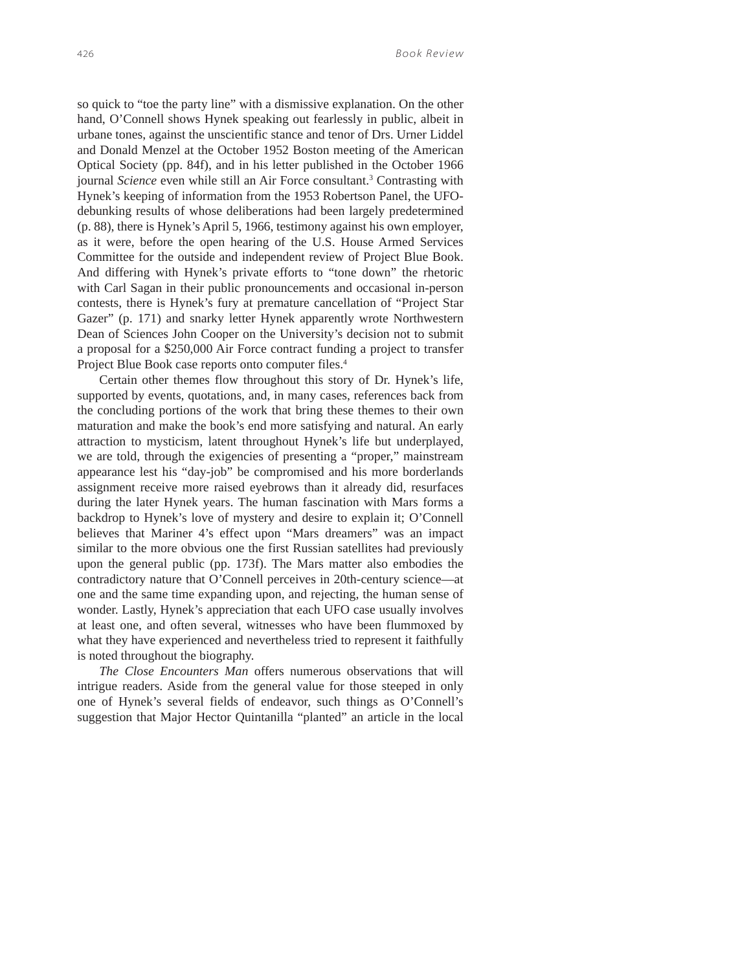so quick to "toe the party line" with a dismissive explanation. On the other hand, O'Connell shows Hynek speaking out fearlessly in public, albeit in urbane tones, against the unscientific stance and tenor of Drs. Urner Liddel and Donald Menzel at the October 1952 Boston meeting of the American Optical Society (pp. 84f), and in his letter published in the October 1966 journal *Science* even while still an Air Force consultant.<sup>3</sup> Contrasting with Hynek's keeping of information from the 1953 Robertson Panel, the UFOdebunking results of whose deliberations had been largely predetermined (p. 88), there is Hynek's April 5, 1966, testimony against his own employer, as it were, before the open hearing of the U.S. House Armed Services Committee for the outside and independent review of Project Blue Book. And differing with Hynek's private efforts to "tone down" the rhetoric with Carl Sagan in their public pronouncements and occasional in-person contests, there is Hynek's fury at premature cancellation of "Project Star Gazer" (p. 171) and snarky letter Hynek apparently wrote Northwestern Dean of Sciences John Cooper on the University's decision not to submit a proposal for a \$250,000 Air Force contract funding a project to transfer Project Blue Book case reports onto computer files.<sup>4</sup>

Certain other themes flow throughout this story of Dr. Hynek's life, supported by events, quotations, and, in many cases, references back from the concluding portions of the work that bring these themes to their own maturation and make the book's end more satisfying and natural. An early attraction to mysticism, latent throughout Hynek's life but underplayed, we are told, through the exigencies of presenting a "proper," mainstream appearance lest his "day-job" be compromised and his more borderlands assignment receive more raised eyebrows than it already did, resurfaces during the later Hynek years. The human fascination with Mars forms a backdrop to Hynek's love of mystery and desire to explain it; O'Connell believes that Mariner 4's effect upon "Mars dreamers" was an impact similar to the more obvious one the first Russian satellites had previously upon the general public (pp. 173f). The Mars matter also embodies the contradictory nature that O'Connell perceives in 20th-century science—at one and the same time expanding upon, and rejecting, the human sense of wonder. Lastly, Hynek's appreciation that each UFO case usually involves at least one, and often several, witnesses who have been flummoxed by what they have experienced and nevertheless tried to represent it faithfully is noted throughout the biography.

*The Close Encounters Man* offers numerous observations that will intrigue readers. Aside from the general value for those steeped in only one of Hynek's several fields of endeavor, such things as O'Connell's suggestion that Major Hector Quintanilla "planted" an article in the local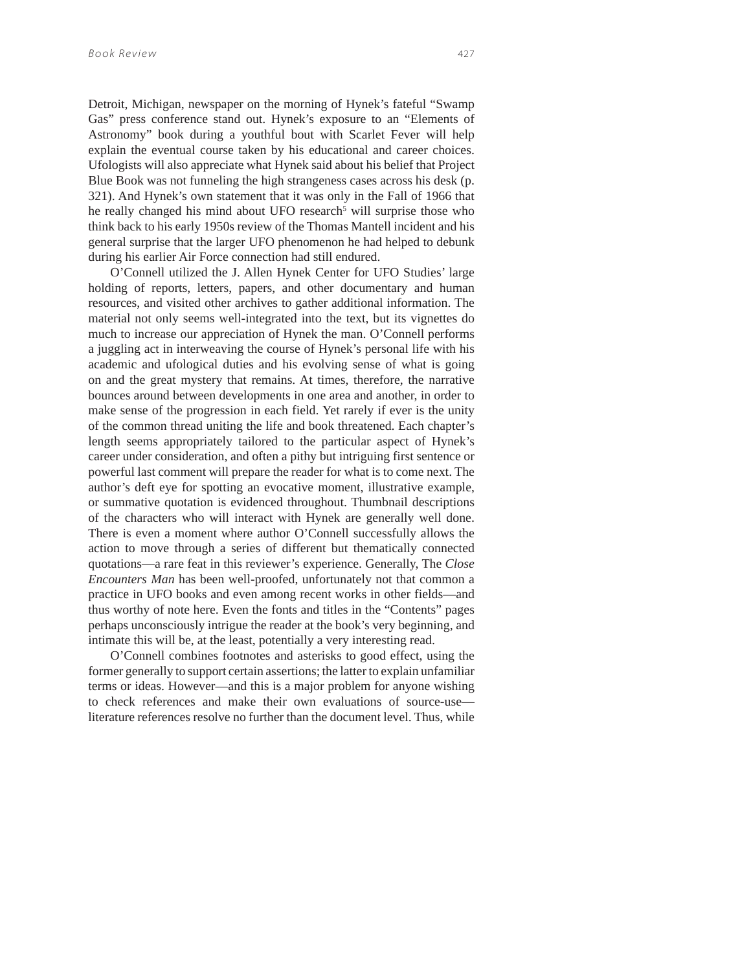Detroit, Michigan, newspaper on the morning of Hynek's fateful "Swamp Gas" press conference stand out. Hynek's exposure to an "Elements of Astronomy" book during a youthful bout with Scarlet Fever will help explain the eventual course taken by his educational and career choices. Ufologists will also appreciate what Hynek said about his belief that Project Blue Book was not funneling the high strangeness cases across his desk (p. 321). And Hynek's own statement that it was only in the Fall of 1966 that he really changed his mind about UFO research<sup>5</sup> will surprise those who think back to his early 1950s review of the Thomas Mantell incident and his general surprise that the larger UFO phenomenon he had helped to debunk during his earlier Air Force connection had still endured.

O'Connell utilized the J. Allen Hynek Center for UFO Studies' large holding of reports, letters, papers, and other documentary and human resources, and visited other archives to gather additional information. The material not only seems well-integrated into the text, but its vignettes do much to increase our appreciation of Hynek the man. O'Connell performs a juggling act in interweaving the course of Hynek's personal life with his academic and ufological duties and his evolving sense of what is going on and the great mystery that remains. At times, therefore, the narrative bounces around between developments in one area and another, in order to make sense of the progression in each field. Yet rarely if ever is the unity of the common thread uniting the life and book threatened. Each chapter's length seems appropriately tailored to the particular aspect of Hynek's career under consideration, and often a pithy but intriguing first sentence or powerful last comment will prepare the reader for what is to come next. The author's deft eye for spotting an evocative moment, illustrative example, or summative quotation is evidenced throughout. Thumbnail descriptions of the characters who will interact with Hynek are generally well done. There is even a moment where author O'Connell successfully allows the action to move through a series of different but thematically connected quotations—a rare feat in this reviewer's experience. Generally, The *Close Encounters Man* has been well-proofed, unfortunately not that common a practice in UFO books and even among recent works in other fields—and thus worthy of note here. Even the fonts and titles in the "Contents" pages perhaps unconsciously intrigue the reader at the book's very beginning, and intimate this will be, at the least, potentially a very interesting read.

O'Connell combines footnotes and asterisks to good effect, using the former generally to support certain assertions; the latter to explain unfamiliar terms or ideas. However—and this is a major problem for anyone wishing to check references and make their own evaluations of source-use literature references resolve no further than the document level. Thus, while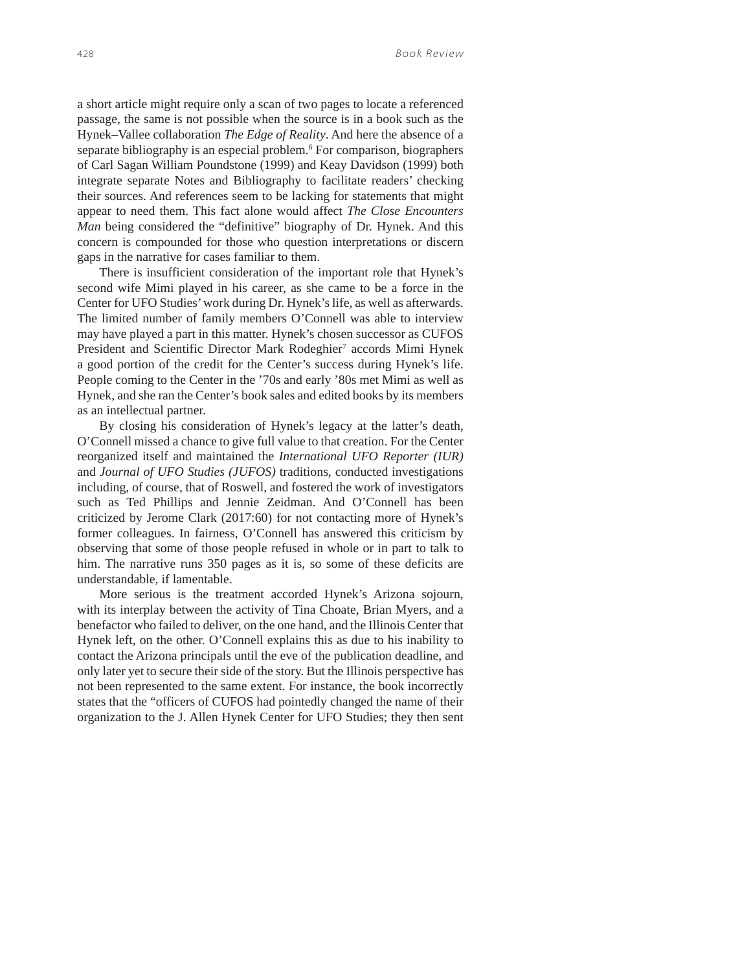a short article might require only a scan of two pages to locate a referenced passage, the same is not possible when the source is in a book such as the Hynek–Vallee collaboration *The Edge of Reality*. And here the absence of a separate bibliography is an especial problem.<sup>6</sup> For comparison, biographers of Carl Sagan William Poundstone (1999) and Keay Davidson (1999) both integrate separate Notes and Bibliography to facilitate readers' checking their sources. And references seem to be lacking for statements that might appear to need them. This fact alone would affect *The Close Encounters Man* being considered the "definitive" biography of Dr. Hynek. And this concern is compounded for those who question interpretations or discern gaps in the narrative for cases familiar to them.

There is insufficient consideration of the important role that Hynek's second wife Mimi played in his career, as she came to be a force in the Center for UFO Studies' work during Dr. Hynek's life, as well as afterwards. The limited number of family members O'Connell was able to interview may have played a part in this matter. Hynek's chosen successor as CUFOS President and Scientific Director Mark Rodeghier<sup>7</sup> accords Mimi Hynek a good portion of the credit for the Center's success during Hynek's life. People coming to the Center in the '70s and early '80s met Mimi as well as Hynek, and she ran the Center's book sales and edited books by its members as an intellectual partner.

By closing his consideration of Hynek's legacy at the latter's death, O'Connell missed a chance to give full value to that creation. For the Center reorganized itself and maintained the *International UFO Reporter (IUR)* and *Journal of UFO Studies (JUFOS)* traditions, conducted investigations including, of course, that of Roswell, and fostered the work of investigators such as Ted Phillips and Jennie Zeidman. And O'Connell has been criticized by Jerome Clark (2017:60) for not contacting more of Hynek's former colleagues. In fairness, O'Connell has answered this criticism by observing that some of those people refused in whole or in part to talk to him. The narrative runs 350 pages as it is, so some of these deficits are understandable, if lamentable.

More serious is the treatment accorded Hynek's Arizona sojourn, with its interplay between the activity of Tina Choate, Brian Myers, and a benefactor who failed to deliver, on the one hand, and the Illinois Center that Hynek left, on the other. O'Connell explains this as due to his inability to contact the Arizona principals until the eve of the publication deadline, and only later yet to secure their side of the story. But the Illinois perspective has not been represented to the same extent. For instance, the book incorrectly states that the "officers of CUFOS had pointedly changed the name of their organization to the J. Allen Hynek Center for UFO Studies; they then sent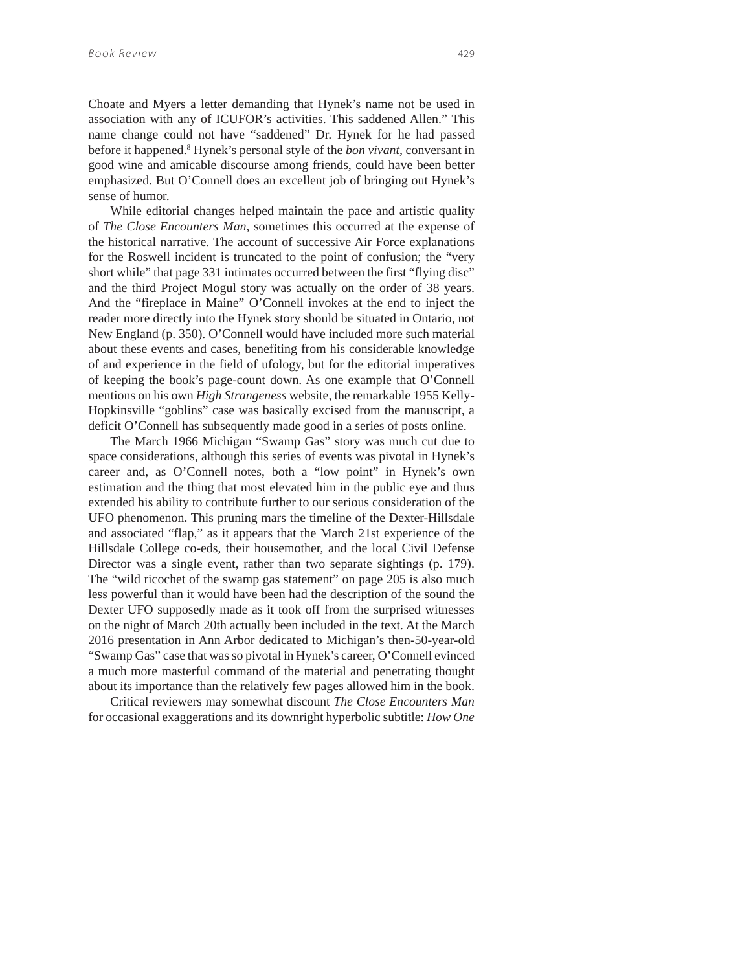Choate and Myers a letter demanding that Hynek's name not be used in association with any of ICUFOR's activities. This saddened Allen." This name change could not have "saddened" Dr. Hynek for he had passed before it happened.8 Hynek's personal style of the *bon vivant*, conversant in good wine and amicable discourse among friends, could have been better emphasized. But O'Connell does an excellent job of bringing out Hynek's sense of humor.

While editorial changes helped maintain the pace and artistic quality of *The Close Encounters Man*, sometimes this occurred at the expense of the historical narrative. The account of successive Air Force explanations for the Roswell incident is truncated to the point of confusion; the "very short while" that page 331 intimates occurred between the first "flying disc" and the third Project Mogul story was actually on the order of 38 years. And the "fireplace in Maine" O'Connell invokes at the end to inject the reader more directly into the Hynek story should be situated in Ontario, not New England (p. 350). O'Connell would have included more such material about these events and cases, benefiting from his considerable knowledge of and experience in the field of ufology, but for the editorial imperatives of keeping the book's page-count down. As one example that O'Connell mentions on his own *High Strangeness* website, the remarkable 1955 Kelly-Hopkinsville "goblins" case was basically excised from the manuscript, a deficit O'Connell has subsequently made good in a series of posts online.

The March 1966 Michigan "Swamp Gas" story was much cut due to space considerations, although this series of events was pivotal in Hynek's career and, as O'Connell notes, both a "low point" in Hynek's own estimation and the thing that most elevated him in the public eye and thus extended his ability to contribute further to our serious consideration of the UFO phenomenon. This pruning mars the timeline of the Dexter-Hillsdale and associated "flap," as it appears that the March 21st experience of the Hillsdale College co-eds, their housemother, and the local Civil Defense Director was a single event, rather than two separate sightings (p. 179). The "wild ricochet of the swamp gas statement" on page 205 is also much less powerful than it would have been had the description of the sound the Dexter UFO supposedly made as it took off from the surprised witnesses on the night of March 20th actually been included in the text. At the March 2016 presentation in Ann Arbor dedicated to Michigan's then-50-year-old "Swamp Gas" case that was so pivotal in Hynek's career, O'Connell evinced a much more masterful command of the material and penetrating thought about its importance than the relatively few pages allowed him in the book.

Critical reviewers may somewhat discount *The Close Encounters Man* for occasional exaggerations and its downright hyperbolic subtitle: *How One*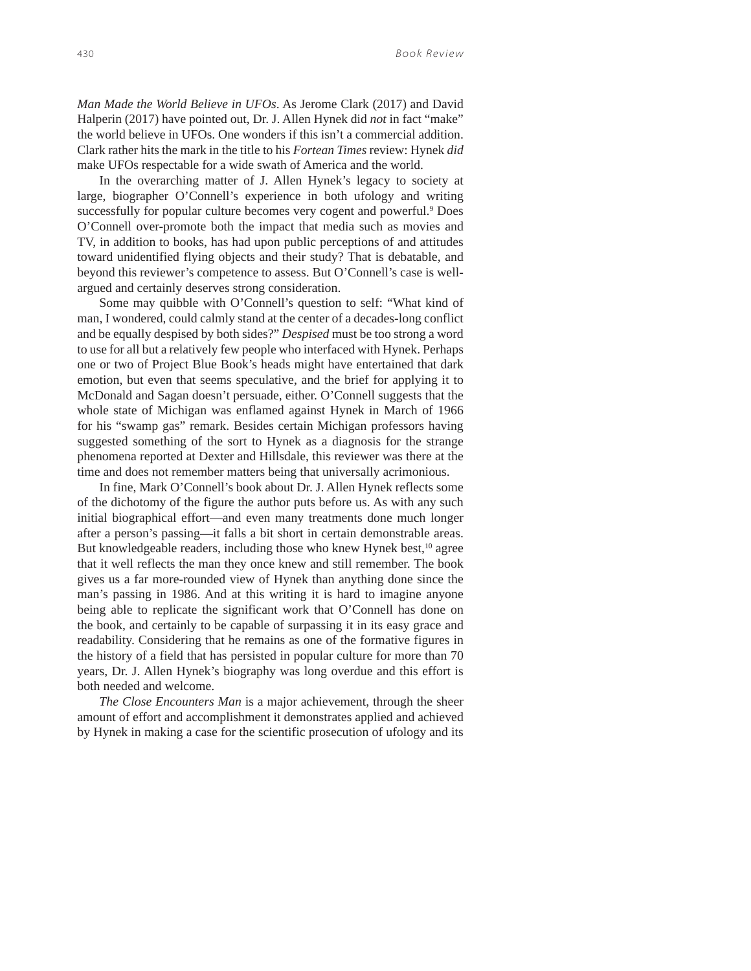*Man Made the World Believe in UFOs*. As Jerome Clark (2017) and David Halperin (2017) have pointed out, Dr. J. Allen Hynek did *not* in fact "make" the world believe in UFOs. One wonders if this isn't a commercial addition. Clark rather hits the mark in the title to his *Fortean Times* review: Hynek *did* make UFOs respectable for a wide swath of America and the world.

In the overarching matter of J. Allen Hynek's legacy to society at large, biographer O'Connell's experience in both ufology and writing successfully for popular culture becomes very cogent and powerful.<sup>9</sup> Does O'Connell over-promote both the impact that media such as movies and TV, in addition to books, has had upon public perceptions of and attitudes toward unidentified flying objects and their study? That is debatable, and beyond this reviewer's competence to assess. But O'Connell's case is wellargued and certainly deserves strong consideration.

Some may quibble with O'Connell's question to self: "What kind of man, I wondered, could calmly stand at the center of a decades-long conflict and be equally despised by both sides?" *Despised* must be too strong a word to use for all but a relatively few people who interfaced with Hynek. Perhaps one or two of Project Blue Book's heads might have entertained that dark emotion, but even that seems speculative, and the brief for applying it to McDonald and Sagan doesn't persuade, either. O'Connell suggests that the whole state of Michigan was enflamed against Hynek in March of 1966 for his "swamp gas" remark. Besides certain Michigan professors having suggested something of the sort to Hynek as a diagnosis for the strange phenomena reported at Dexter and Hillsdale, this reviewer was there at the time and does not remember matters being that universally acrimonious.

In fine, Mark O'Connell's book about Dr. J. Allen Hynek reflects some of the dichotomy of the figure the author puts before us. As with any such initial biographical effort—and even many treatments done much longer after a person's passing—it falls a bit short in certain demonstrable areas. But knowledgeable readers, including those who knew Hynek best,<sup>10</sup> agree that it well reflects the man they once knew and still remember. The book gives us a far more-rounded view of Hynek than anything done since the man's passing in 1986. And at this writing it is hard to imagine anyone being able to replicate the significant work that O'Connell has done on the book, and certainly to be capable of surpassing it in its easy grace and readability. Considering that he remains as one of the formative figures in the history of a field that has persisted in popular culture for more than 70 years, Dr. J. Allen Hynek's biography was long overdue and this effort is both needed and welcome.

*The Close Encounters Man* is a major achievement, through the sheer amount of effort and accomplishment it demonstrates applied and achieved by Hynek in making a case for the scientific prosecution of ufology and its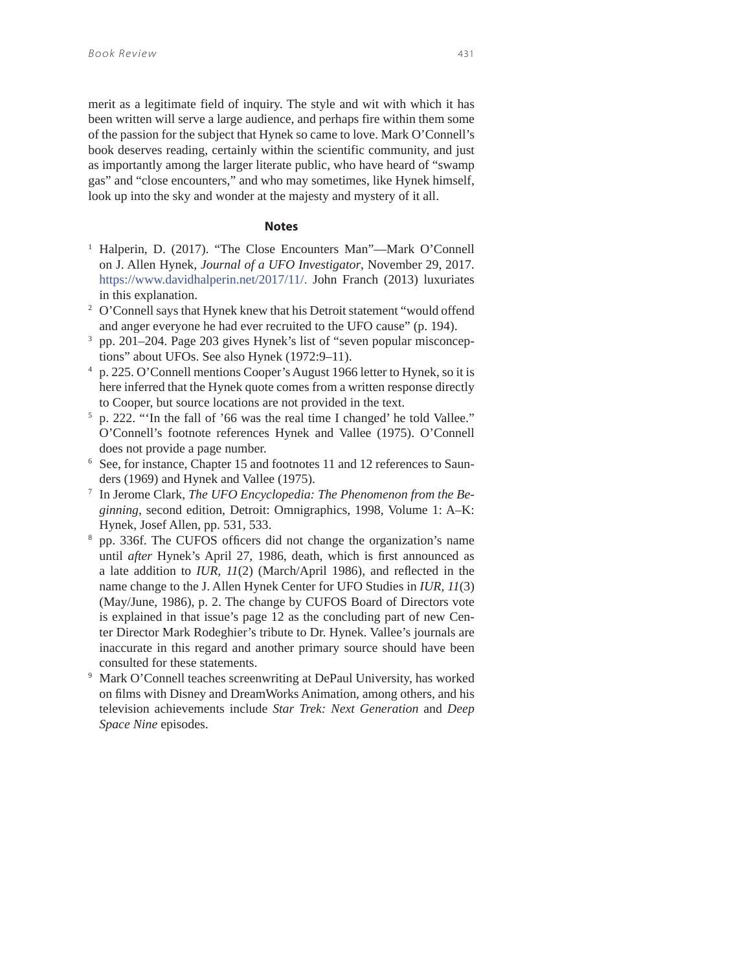merit as a legitimate field of inquiry. The style and wit with which it has been written will serve a large audience, and perhaps fire within them some of the passion for the subject that Hynek so came to love. Mark O'Connell's book deserves reading, certainly within the scientific community, and just as importantly among the larger literate public, who have heard of "swamp gas" and "close encounters," and who may sometimes, like Hynek himself, look up into the sky and wonder at the majesty and mystery of it all.

#### **Notes**

- 1 Halperin, D. (2017). "The Close Encounters Man"—Mark O'Connell on J. Allen Hynek, *Journal of a UFO Investigator*, November 29, 2017. https://www.davidhalperin.net/2017/11/. John Franch (2013) luxuriates in this explanation.
- <sup>2</sup> O'Connell says that Hynek knew that his Detroit statement "would offend and anger everyone he had ever recruited to the UFO cause" (p. 194).
- 3 pp. 201–204. Page 203 gives Hynek's list of "seven popular misconceptions" about UFOs. See also Hynek (1972:9–11).
- 4 p. 225. O'Connell mentions Cooper's August 1966 letter to Hynek, so it is here inferred that the Hynek quote comes from a written response directly to Cooper, but source locations are not provided in the text.
- 5 p. 222. "'In the fall of '66 was the real time I changed' he told Vallee." O'Connell's footnote references Hynek and Vallee (1975). O'Connell does not provide a page number.
- 6 See, for instance, Chapter 15 and footnotes 11 and 12 references to Saunders (1969) and Hynek and Vallee (1975).
- 7 In Jerome Clark, *The UFO Encyclopedia: The Phenomenon from the Beginning*, second edition, Detroit: Omnigraphics, 1998, Volume 1: A–K: Hynek, Josef Allen, pp. 531, 533.
- <sup>8</sup> pp. 336f. The CUFOS officers did not change the organization's name until *after* Hynek's April 27, 1986, death, which is first announced as a late addition to *IUR, 11*(2) (March/April 1986), and reflected in the name change to the J. Allen Hynek Center for UFO Studies in *IUR, 11*(3) (May/June, 1986), p. 2. The change by CUFOS Board of Directors vote is explained in that issue's page 12 as the concluding part of new Center Director Mark Rodeghier's tribute to Dr. Hynek. Vallee's journals are inaccurate in this regard and another primary source should have been consulted for these statements.
- 9 Mark O'Connell teaches screenwriting at DePaul University, has worked on films with Disney and DreamWorks Animation, among others, and his television achievements include *Star Trek: Next Generation* and *Deep Space Nine* episodes.